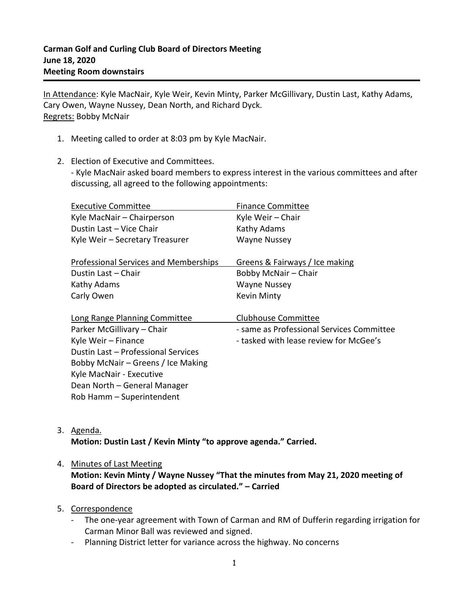In Attendance: Kyle MacNair, Kyle Weir, Kevin Minty, Parker McGillivary, Dustin Last, Kathy Adams, Cary Owen, Wayne Nussey, Dean North, and Richard Dyck. Regrets: Bobby McNair

- 1. Meeting called to order at 8:03 pm by Kyle MacNair.
- 2. Election of Executive and Committees.

- Kyle MacNair asked board members to express interest in the various committees and after discussing, all agreed to the following appointments:

| <b>Executive Committee</b>                   | <b>Finance Committee</b>                  |
|----------------------------------------------|-------------------------------------------|
| Kyle MacNair - Chairperson                   | Kyle Weir - Chair                         |
| Dustin Last - Vice Chair                     | Kathy Adams                               |
| Kyle Weir - Secretary Treasurer              | <b>Wayne Nussey</b>                       |
|                                              |                                           |
| <b>Professional Services and Memberships</b> | Greens & Fairways / Ice making            |
| Dustin Last - Chair                          | Bobby McNair - Chair                      |
| Kathy Adams                                  | <b>Wayne Nussey</b>                       |
| Carly Owen                                   | <b>Kevin Minty</b>                        |
|                                              |                                           |
| Long Range Planning Committee                | <b>Clubhouse Committee</b>                |
| Parker McGillivary - Chair                   | - same as Professional Services Committee |
| Kyle Weir - Finance                          | - tasked with lease review for McGee's    |
| Dustin Last - Professional Services          |                                           |
| Bobby McNair – Greens / Ice Making           |                                           |
| Kyle MacNair - Executive                     |                                           |
| Dean North - General Manager                 |                                           |
| Rob Hamm - Superintendent                    |                                           |

3. Agenda.

**Motion: Dustin Last / Kevin Minty "to approve agenda." Carried.**

# 4. Minutes of Last Meeting

**Motion: Kevin Minty / Wayne Nussey "That the minutes from May 21, 2020 meeting of Board of Directors be adopted as circulated." – Carried**

# 5. Correspondence

- The one-year agreement with Town of Carman and RM of Dufferin regarding irrigation for Carman Minor Ball was reviewed and signed.
- Planning District letter for variance across the highway. No concerns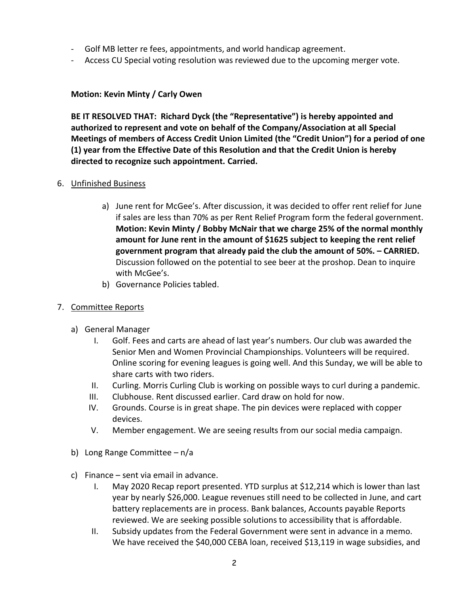- Golf MB letter re fees, appointments, and world handicap agreement.
- Access CU Special voting resolution was reviewed due to the upcoming merger vote.

# **Motion: Kevin Minty / Carly Owen**

**BE IT RESOLVED THAT: Richard Dyck (the "Representative") is hereby appointed and authorized to represent and vote on behalf of the Company/Association at all Special Meetings of members of Access Credit Union Limited (the "Credit Union") for a period of one (1) year from the Effective Date of this Resolution and that the Credit Union is hereby directed to recognize such appointment. Carried.**

# 6. Unfinished Business

- a) June rent for McGee's. After discussion, it was decided to offer rent relief for June if sales are less than 70% as per Rent Relief Program form the federal government. **Motion: Kevin Minty / Bobby McNair that we charge 25% of the normal monthly amount for June rent in the amount of \$1625 subject to keeping the rent relief government program that already paid the club the amount of 50%. – CARRIED.** Discussion followed on the potential to see beer at the proshop. Dean to inquire with McGee's.
- b) Governance Policies tabled.

# 7. Committee Reports

- a) General Manager
	- I. Golf. Fees and carts are ahead of last year's numbers. Our club was awarded the Senior Men and Women Provincial Championships. Volunteers will be required. Online scoring for evening leagues is going well. And this Sunday, we will be able to share carts with two riders.
	- II. Curling. Morris Curling Club is working on possible ways to curl during a pandemic.
	- III. Clubhouse. Rent discussed earlier. Card draw on hold for now.
	- IV. Grounds. Course is in great shape. The pin devices were replaced with copper devices.
	- V. Member engagement. We are seeing results from our social media campaign.
- b) Long Range Committee n/a
- c) Finance sent via email in advance.
	- I. May 2020 Recap report presented. YTD surplus at \$12,214 which is lower than last year by nearly \$26,000. League revenues still need to be collected in June, and cart battery replacements are in process. Bank balances, Accounts payable Reports reviewed. We are seeking possible solutions to accessibility that is affordable.
	- II. Subsidy updates from the Federal Government were sent in advance in a memo. We have received the \$40,000 CEBA loan, received \$13,119 in wage subsidies, and